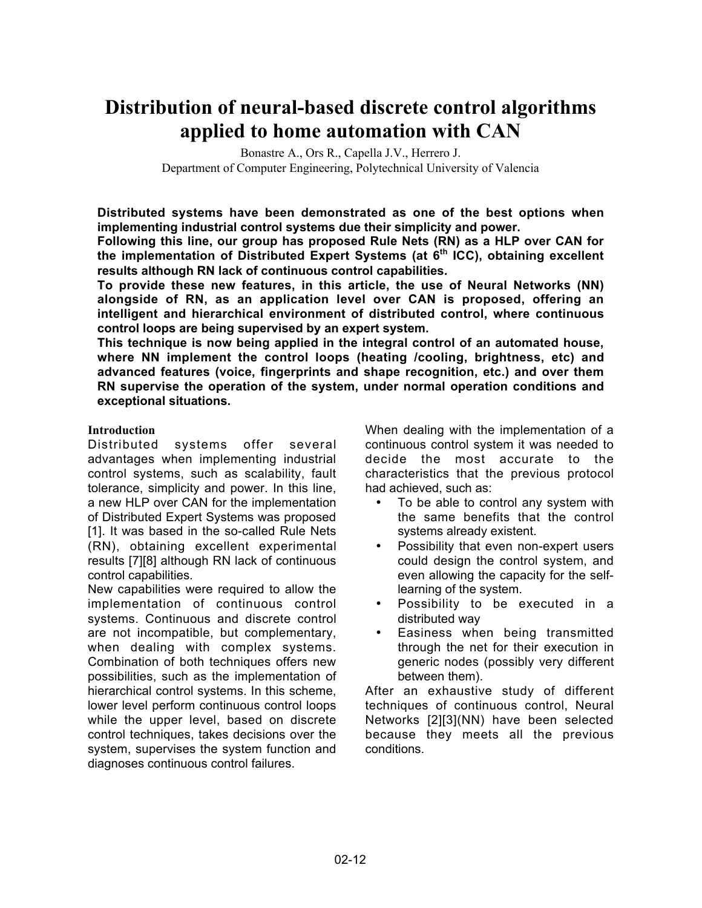# **Distribution of neural-based discrete control algorithms applied to home automation with CAN**

Bonastre A., Ors R., Capella J.V., Herrero J. Department of Computer Engineering, Polytechnical University of Valencia

**Distributed systems have been demonstrated as one of the best options when implementing industrial control systems due their simplicity and power.**

**Following this line, our group has proposed Rule Nets (RN) as a HLP over CAN for the implementation of Distributed Expert Systems (at 6th ICC), obtaining excellent results although RN lack of continuous control capabilities.**

**To provide these new features, in this article, the use of Neural Networks (NN) alongside of RN, as an application level over CAN is proposed, offering an intelligent and hierarchical environment of distributed control, where continuous control loops are being supervised by an expert system.**

**This technique is now being applied in the integral control of an automated house, where NN implement the control loops (heating /cooling, brightness, etc) and advanced features (voice, fingerprints and shape recognition, etc.) and over them RN supervise the operation of the system, under normal operation conditions and exceptional situations.**

#### **Introduction**

Distributed systems offer several advantages when implementing industrial control systems, such as scalability, fault tolerance, simplicity and power. In this line, a new HLP over CAN for the implementation of Distributed Expert Systems was proposed [1]. It was based in the so-called Rule Nets (RN), obtaining excellent experimental results [7][8] although RN lack of continuous control capabilities.

New capabilities were required to allow the implementation of continuous control systems. Continuous and discrete control are not incompatible, but complementary, when dealing with complex systems. Combination of both techniques offers new possibilities, such as the implementation of hierarchical control systems. In this scheme, lower level perform continuous control loops while the upper level, based on discrete control techniques, takes decisions over the system, supervises the system function and diagnoses continuous control failures.

When dealing with the implementation of a continuous control system it was needed to decide the most accurate to the characteristics that the previous protocol had achieved, such as:

- To be able to control any system with the same benefits that the control systems already existent.
- Possibility that even non-expert users could design the control system, and even allowing the capacity for the selflearning of the system.
- Possibility to be executed in a distributed way
- Easiness when being transmitted through the net for their execution in generic nodes (possibly very different between them).

After an exhaustive study of different techniques of continuous control, Neural Networks [2][3](NN) have been selected because they meets all the previous conditions.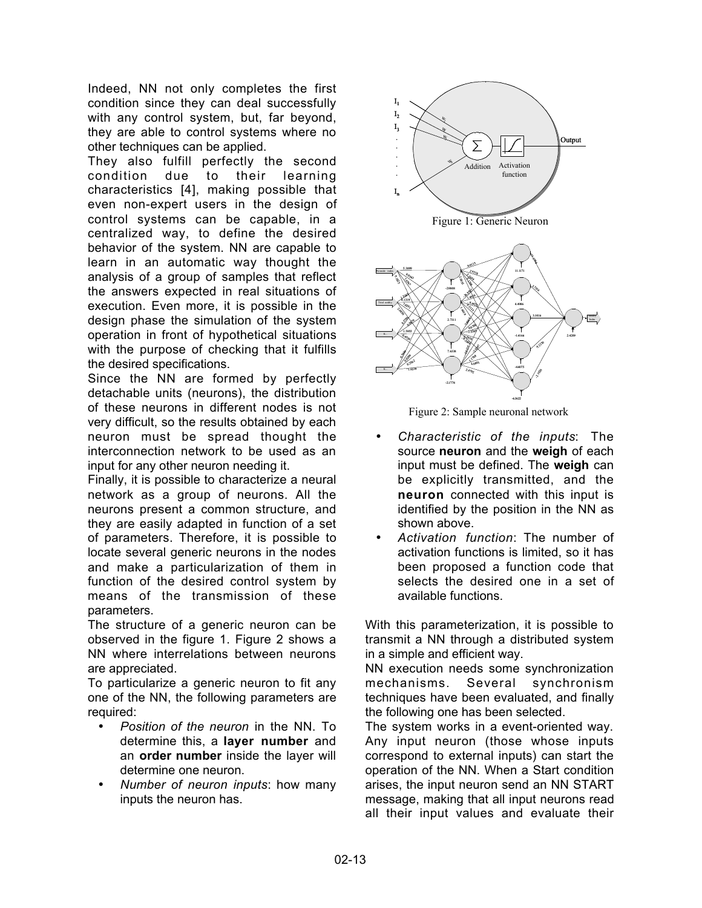Indeed, NN not only completes the first condition since they can deal successfully with any control system, but, far beyond, they are able to control systems where no other techniques can be applied.

They also fulfill perfectly the second condition due to their learning characteristics [4], making possible that even non-expert users in the design of control systems can be capable, in a centralized way, to define the desired behavior of the system. NN are capable to learn in an automatic way thought the analysis of a group of samples that reflect the answers expected in real situations of execution. Even more, it is possible in the design phase the simulation of the system operation in front of hypothetical situations with the purpose of checking that it fulfills the desired specifications.

Since the NN are formed by perfectly detachable units (neurons), the distribution of these neurons in different nodes is not very difficult, so the results obtained by each neuron must be spread thought the interconnection network to be used as an input for any other neuron needing it.

Finally, it is possible to characterize a neural network as a group of neurons. All the neurons present a common structure, and they are easily adapted in function of a set of parameters. Therefore, it is possible to locate several generic neurons in the nodes and make a particularization of them in function of the desired control system by means of the transmission of these parameters.

The structure of a generic neuron can be observed in the figure 1. Figure 2 shows a NN where interrelations between neurons are appreciated.

To particularize a generic neuron to fit any one of the NN, the following parameters are required:

- *Position of the neuron* in the NN. To determine this, a **layer number** and an **order number** inside the layer will determine one neuron.
- *Number of neuron inputs*: how many inputs the neuron has.





- *Characteristic of the inputs*: The source **neuron** and the **weigh** of each input must be defined. The **weigh** can be explicitly transmitted, and the **neuron** connected with this input is identified by the position in the NN as shown above.
- *Activation function*: The number of activation functions is limited, so it has been proposed a function code that selects the desired one in a set of available functions.

With this parameterization, it is possible to transmit a NN through a distributed system in a simple and efficient way.

NN execution needs some synchronization mechanisms. Several synchronism techniques have been evaluated, and finally the following one has been selected.

The system works in a event-oriented way. Any input neuron (those whose inputs correspond to external inputs) can start the operation of the NN. When a Start condition arises, the input neuron send an NN START message, making that all input neurons read all their input values and evaluate their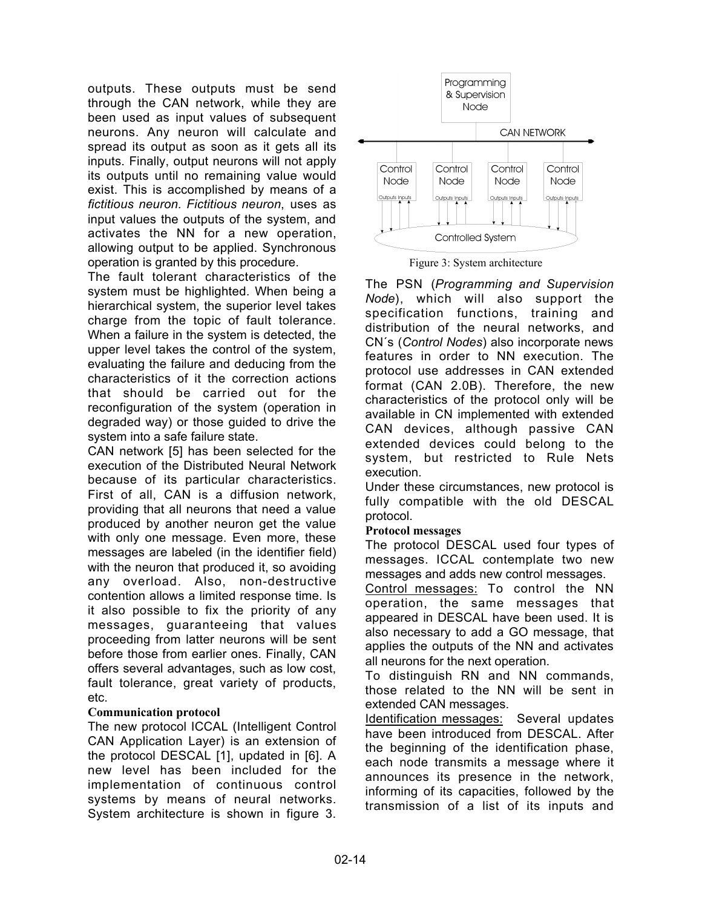outputs. These outputs must be send through the CAN network, while they are been used as input values of subsequent neurons. Any neuron will calculate and spread its output as soon as it gets all its inputs. Finally, output neurons will not apply its outputs until no remaining value would exist. This is accomplished by means of a *fictitious neuron. Fictitious neuron*, uses as input values the outputs of the system, and activates the NN for a new operation, allowing output to be applied. Synchronous operation is granted by this procedure.

The fault tolerant characteristics of the system must be highlighted. When being a hierarchical system, the superior level takes charge from the topic of fault tolerance. When a failure in the system is detected, the upper level takes the control of the system, evaluating the failure and deducing from the characteristics of it the correction actions that should be carried out for the reconfiguration of the system (operation in degraded way) or those guided to drive the system into a safe failure state.

CAN network [5] has been selected for the execution of the Distributed Neural Network because of its particular characteristics. First of all, CAN is a diffusion network, providing that all neurons that need a value produced by another neuron get the value with only one message. Even more, these messages are labeled (in the identifier field) with the neuron that produced it, so avoiding any overload. Also, non-destructive contention allows a limited response time. Is it also possible to fix the priority of any messages, guaranteeing that values proceeding from latter neurons will be sent before those from earlier ones. Finally, CAN offers several advantages, such as low cost, fault tolerance, great variety of products, etc.

#### **Communication protocol**

The new protocol ICCAL (Intelligent Control CAN Application Layer) is an extension of the protocol DESCAL [1], updated in [6]. A new level has been included for the implementation of continuous control systems by means of neural networks. System architecture is shown in figure 3.





The PSN (*Programming and Supervision Node*), which will also support the specification functions, training and distribution of the neural networks, and CN´s (*Control Nodes*) also incorporate news features in order to NN execution. The protocol use addresses in CAN extended format (CAN 2.0B). Therefore, the new characteristics of the protocol only will be available in CN implemented with extended CAN devices, although passive CAN extended devices could belong to the system, but restricted to Rule Nets execution.

Under these circumstances, new protocol is fully compatible with the old DESCAL protocol.

## **Protocol messages**

The protocol DESCAL used four types of messages. ICCAL contemplate two new messages and adds new control messages.

Control messages: To control the NN operation, the same messages that appeared in DESCAL have been used. It is also necessary to add a GO message, that applies the outputs of the NN and activates all neurons for the next operation.

To distinguish RN and NN commands, those related to the NN will be sent in extended CAN messages.

Identification messages: Several updates have been introduced from DESCAL. After the beginning of the identification phase, each node transmits a message where it announces its presence in the network, informing of its capacities, followed by the transmission of a list of its inputs and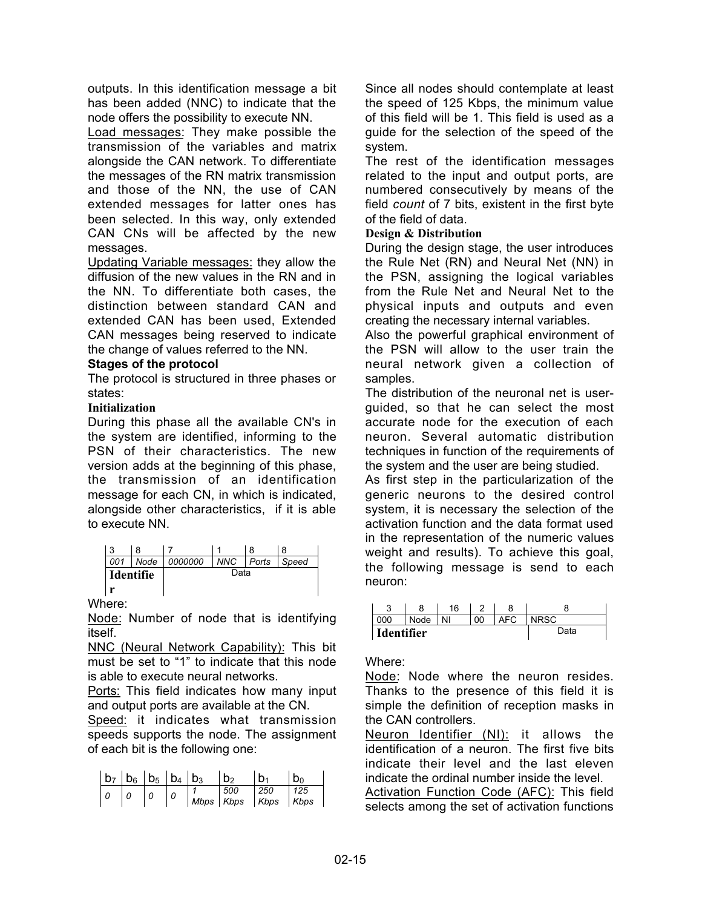outputs. In this identification message a bit has been added (NNC) to indicate that the node offers the possibility to execute NN.

Load messages: They make possible the transmission of the variables and matrix alongside the CAN network. To differentiate the messages of the RN matrix transmission and those of the NN, the use of CAN extended messages for latter ones has been selected. In this way, only extended CAN CNs will be affected by the new messages.

Updating Variable messages: they allow the diffusion of the new values in the RN and in the NN. To differentiate both cases, the distinction between standard CAN and extended CAN has been used, Extended CAN messages being reserved to indicate the change of values referred to the NN.

## **Stages of the protocol**

The protocol is structured in three phases or states:

## **Initialization**

During this phase all the available CN's in the system are identified, informing to the PSN of their characteristics. The new version adds at the beginning of this phase, the transmission of an identification message for each CN, in which is indicated, alongside other characteristics, if it is able to execute NN.

| 001              | Node | 0000000<br>$\mathbf{I}$ | NNC Ports Speed |  |  |  |
|------------------|------|-------------------------|-----------------|--|--|--|
| <b>Identifie</b> |      | Data                    |                 |  |  |  |
|                  |      |                         |                 |  |  |  |

Where:

Node: Number of node that is identifying itself.

NNC (Neural Network Capability): This bit must be set to "1" to indicate that this node is able to execute neural networks.

Ports: This field indicates how many input and output ports are available at the CN.

Speed: it indicates what transmission speeds supports the node. The assignment of each bit is the following one:

|  | $ b_7 b_6 b_5 b_4 b_3$ |  | b <sub>2</sub>                                                      |     |             |
|--|------------------------|--|---------------------------------------------------------------------|-----|-------------|
|  |                        |  | 500<br>$\left  \right $ Mbps $\left  \right $ Kbps $\left  \right $ | 250 | 125<br>Kbps |

Since all nodes should contemplate at least the speed of 125 Kbps, the minimum value of this field will be 1. This field is used as a guide for the selection of the speed of the system.

The rest of the identification messages related to the input and output ports, are numbered consecutively by means of the field *count* of 7 bits, existent in the first byte of the field of data.

#### **Design & Distribution**

During the design stage, the user introduces the Rule Net (RN) and Neural Net (NN) in the PSN, assigning the logical variables from the Rule Net and Neural Net to the physical inputs and outputs and even creating the necessary internal variables.

Also the powerful graphical environment of the PSN will allow to the user train the neural network given a collection of samples.

The distribution of the neuronal net is userguided, so that he can select the most accurate node for the execution of each neuron. Several automatic distribution techniques in function of the requirements of the system and the user are being studied.

As first step in the particularization of the generic neurons to the desired control system, it is necessary the selection of the activation function and the data format used in the representation of the numeric values weight and results). To achieve this goal, the following message is send to each neuron:

|                   |      | 16   |    |            |             |
|-------------------|------|------|----|------------|-------------|
| 000               | Node | I NI | 00 | <b>AFC</b> | <b>NRSC</b> |
| <b>Identifier</b> |      | Data |    |            |             |

Where:

Node: Node where the neuron resides. Thanks to the presence of this field it is simple the definition of reception masks in the CAN controllers.

Neuron Identifier (NI): it allows the identification of a neuron. The first five bits indicate their level and the last eleven indicate the ordinal number inside the level.

Activation Function Code (AFC): This field selects among the set of activation functions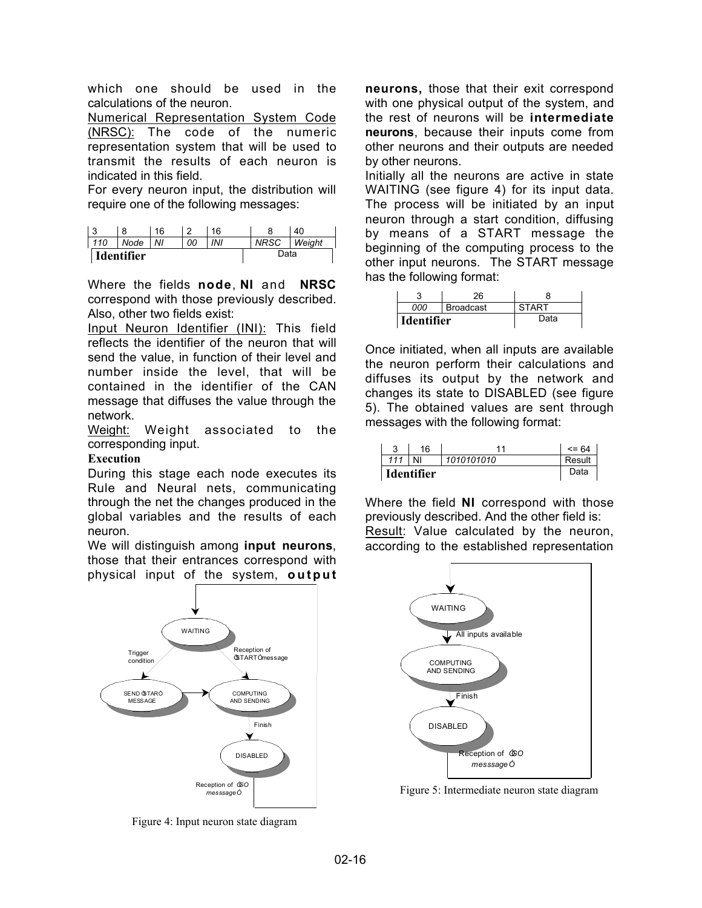which one should be used in the calculations of the neuron.

Numerical Representation System Code (NRSC): The code of the numeric representation system that will be used to transmit the results of each neuron is indicated in this field.

For every neuron input, the distribution will require one of the following messages:

| Identifier |      |    |    |     | Data        |        |
|------------|------|----|----|-----|-------------|--------|
| 110        | Node | ΝI | 00 | INI | <b>NRSC</b> | Weiaht |
|            | 8    | 16 | ົ  | 16  |             | 40     |

Where the fields **node**, **NI** and **NRSC** correspond with those previously described. Also, other two fields exist:

Input Neuron Identifier (INI): This field reflects the identifier of the neuron that will send the value, in function of their level and number inside the level, that will be contained in the identifier of the CAN message that diffuses the value through the network.

Weight: Weight associated to the corresponding input.

#### **Execution**

During this stage each node executes its Rule and Neural nets, communicating through the net the changes produced in the global variables and the results of each neuron.

We will distinguish among **input neurons**, those that their entrances correspond with physical input of the system, **output**



Figure 4: Input neuron state diagram

**neurons,** those that their exit correspond with one physical output of the system, and the rest of neurons will be **intermediate neurons**, because their inputs come from other neurons and their outputs are needed by other neurons.

Initially all the neurons are active in state WAITING (see figure 4) for its input data. The process will be initiated by an input neuron through a start condition, diffusing by means of a START message the beginning of the computing process to the other input neurons. The START message has the following format:

|                   | 26               |              |
|-------------------|------------------|--------------|
| nnn               | <b>Broadcast</b> | <b>START</b> |
| <b>Identifier</b> |                  | Data         |

Once initiated, when all inputs are available the neuron perform their calculations and diffuses its output by the network and changes its state to DISABLED (see figure 5). The obtained values are sent through messages with the following format:

|            |     | 16 |            | $= 64$ |
|------------|-----|----|------------|--------|
|            | 111 | ΝI | 1010101010 | Result |
| Identifier |     |    |            | Data   |

Where the field **NI** correspond with those previously described. And the other field is: Result: Value calculated by the neuron, according to the established representation



Figure 5: Intermediate neuron state diagram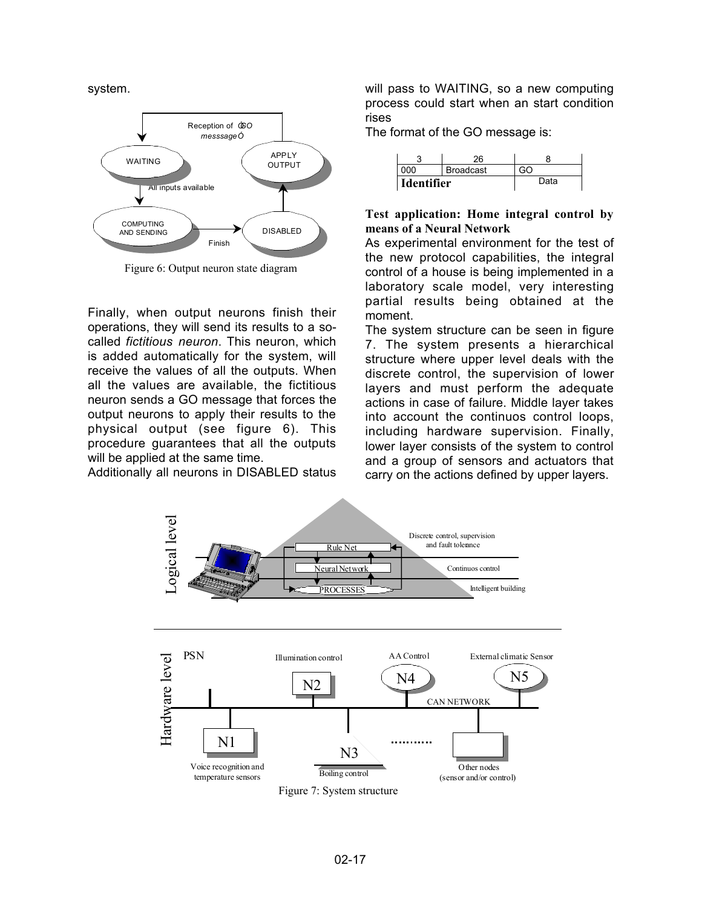system.



Figure 6: Output neuron state diagram

Finally, when output neurons finish their operations, they will send its results to a socalled *fictitious neuron*. This neuron, which is added automatically for the system, will receive the values of all the outputs. When all the values are available, the fictitious neuron sends a GO message that forces the output neurons to apply their results to the physical output (see figure 6). This procedure guarantees that all the outputs will be applied at the same time.

Additionally all neurons in DISABLED status

will pass to WAITING, so a new computing process could start when an start condition rises

The format of the GO message is:

|                   | 26               |      |
|-------------------|------------------|------|
| ากก               | <b>Broadcast</b> | ∼∩   |
| <b>Identifier</b> |                  | Data |

#### **Test application: Home integral control by means of a Neural Network**

As experimental environment for the test of the new protocol capabilities, the integral control of a house is being implemented in a laboratory scale model, very interesting partial results being obtained at the moment.

The system structure can be seen in figure 7. The system presents a hierarchical structure where upper level deals with the discrete control, the supervision of lower layers and must perform the adequate actions in case of failure. Middle layer takes into account the continuos control loops, including hardware supervision. Finally, lower layer consists of the system to control and a group of sensors and actuators that carry on the actions defined by upper layers.

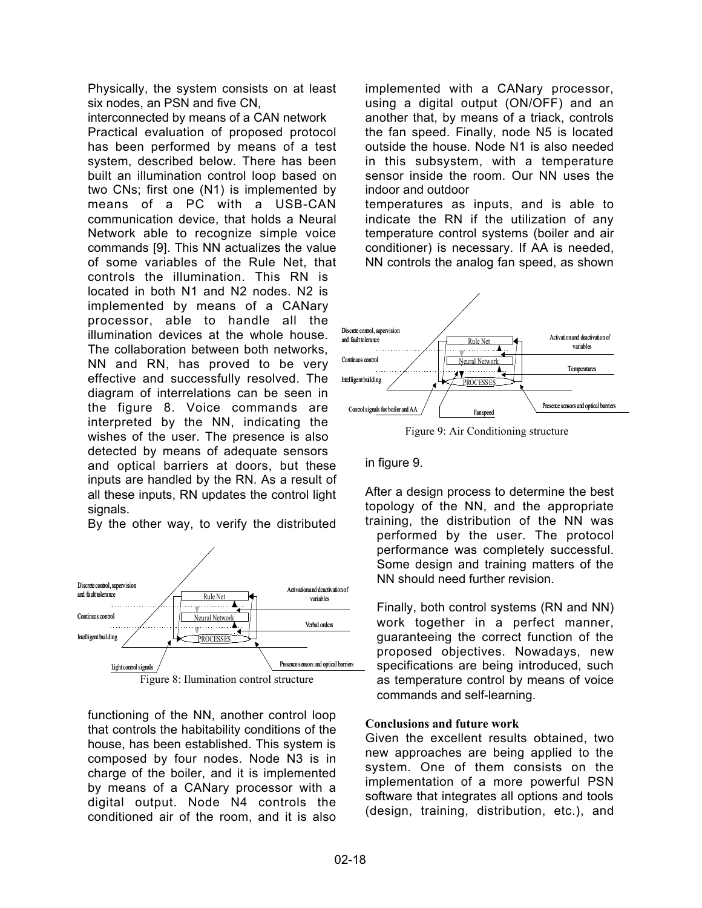Physically, the system consists on at least six nodes, an PSN and five CN,

interconnected by means of a CAN network Practical evaluation of proposed protocol has been performed by means of a test system, described below. There has been built an illumination control loop based on two CNs; first one (N1) is implemented by means of a PC with a USB-CAN communication device, that holds a Neural Network able to recognize simple voice commands [9]. This NN actualizes the value of some variables of the Rule Net, that controls the illumination. This RN is located in both N1 and N2 nodes. N2 is implemented by means of a CANary processor, able to handle all the illumination devices at the whole house. The collaboration between both networks, NN and RN, has proved to be very effective and successfully resolved. The diagram of interrelations can be seen in the figure 8. Voice commands are interpreted by the NN, indicating the wishes of the user. The presence is also detected by means of adequate sensors and optical barriers at doors, but these inputs are handled by the RN. As a result of all these inputs, RN updates the control light signals.



By the other way, to verify the distributed

Figure 8: Ilumination control structure

functioning of the NN, another control loop that controls the habitability conditions of the house, has been established. This system is composed by four nodes. Node N3 is in charge of the boiler, and it is implemented by means of a CANary processor with a digital output. Node N4 controls the conditioned air of the room, and it is also

implemented with a CANary processor, using a digital output (ON/OFF) and an another that, by means of a triack, controls the fan speed. Finally, node N5 is located outside the house. Node N1 is also needed in this subsystem, with a temperature sensor inside the room. Our NN uses the indoor and outdoor temperatures as inputs, and is able to indicate the RN if the utilization of any temperature control systems (boiler and air conditioner) is necessary. If AA is needed, NN controls the analog fan speed, as shown



Figure 9: Air Conditioning structure

in figure 9.

After a design process to determine the best topology of the NN, and the appropriate training, the distribution of the NN was performed by the user. The protocol performance was completely successful. Some design and training matters of the NN should need further revision.

Finally, both control systems (RN and NN) work together in a perfect manner, guaranteeing the correct function of the proposed objectives. Nowadays, new specifications are being introduced, such as temperature control by means of voice commands and self-learning.

#### **Conclusions and future work**

Given the excellent results obtained, two new approaches are being applied to the system. One of them consists on the implementation of a more powerful PSN software that integrates all options and tools (design, training, distribution, etc.), and